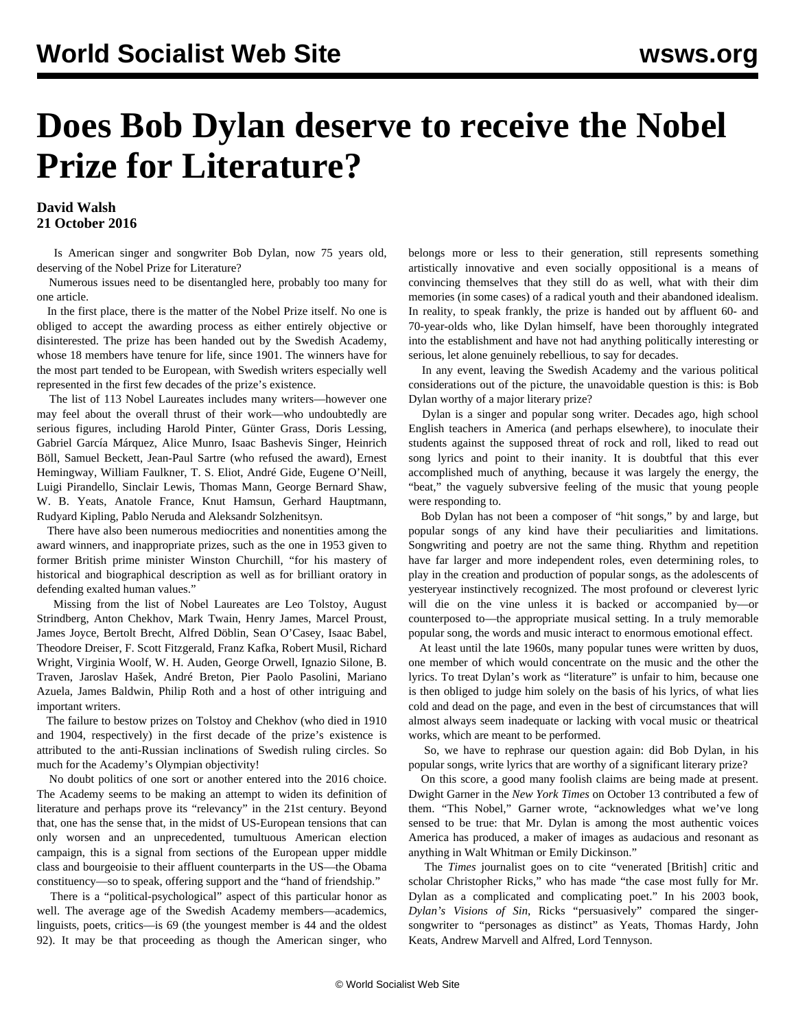## **Does Bob Dylan deserve to receive the Nobel Prize for Literature?**

## **David Walsh 21 October 2016**

 Is American singer and songwriter Bob Dylan, now 75 years old, deserving of the Nobel Prize for Literature?

 Numerous issues need to be disentangled here, probably too many for one article.

 In the first place, there is the matter of the Nobel Prize itself. No one is obliged to accept the awarding process as either entirely objective or disinterested. The prize has been handed out by the Swedish Academy, whose 18 members have tenure for life, since 1901. The winners have for the most part tended to be European, with Swedish writers especially well represented in the first few decades of the prize's existence.

 The list of 113 Nobel Laureates includes many writers––however one may feel about the overall thrust of their work––who undoubtedly are serious figures, including Harold Pinter, Günter Grass, Doris Lessing, Gabriel García Márquez, Alice Munro, Isaac Bashevis Singer, Heinrich Böll, Samuel Beckett, Jean-Paul Sartre (who refused the award), Ernest Hemingway, William Faulkner, T. S. Eliot, André Gide, Eugene O'Neill, Luigi Pirandello, Sinclair Lewis, Thomas Mann, George Bernard Shaw, W. B. Yeats, Anatole France, Knut Hamsun, Gerhard Hauptmann, Rudyard Kipling, Pablo Neruda and Aleksandr Solzhenitsyn.

 There have also been numerous mediocrities and nonentities among the award winners, and inappropriate prizes, such as the one in 1953 given to former British prime minister Winston Churchill, "for his mastery of historical and biographical description as well as for brilliant oratory in defending exalted human values."

 Missing from the list of Nobel Laureates are Leo Tolstoy, August Strindberg, Anton Chekhov, Mark Twain, Henry James, Marcel Proust, James Joyce, Bertolt Brecht, Alfred Döblin, Sean O'Casey, Isaac Babel, Theodore Dreiser, F. Scott Fitzgerald, Franz Kafka, Robert Musil, Richard Wright, Virginia Woolf, W. H. Auden, George Orwell, Ignazio Silone, B. Traven, Jaroslav Hašek, André Breton, Pier Paolo Pasolini, Mariano Azuela, James Baldwin, Philip Roth and a host of other intriguing and important writers.

 The failure to bestow prizes on Tolstoy and Chekhov (who died in 1910 and 1904, respectively) in the first decade of the prize's existence is attributed to the anti-Russian inclinations of Swedish ruling circles. So much for the Academy's Olympian objectivity!

 No doubt politics of one sort or another entered into the 2016 choice. The Academy seems to be making an attempt to widen its definition of literature and perhaps prove its "relevancy" in the 21st century. Beyond that, one has the sense that, in the midst of US-European tensions that can only worsen and an unprecedented, tumultuous American election campaign, this is a signal from sections of the European upper middle class and bourgeoisie to their affluent counterparts in the US—the Obama constituency—so to speak, offering support and the "hand of friendship."

 There is a "political-psychological" aspect of this particular honor as well. The average age of the Swedish Academy members––academics, linguists, poets, critics—is 69 (the youngest member is 44 and the oldest 92). It may be that proceeding as though the American singer, who belongs more or less to their generation, still represents something artistically innovative and even socially oppositional is a means of convincing themselves that they still do as well, what with their dim memories (in some cases) of a radical youth and their abandoned idealism. In reality, to speak frankly, the prize is handed out by affluent 60- and 70-year-olds who, like Dylan himself, have been thoroughly integrated into the establishment and have not had anything politically interesting or serious, let alone genuinely rebellious, to say for decades.

 In any event, leaving the Swedish Academy and the various political considerations out of the picture, the unavoidable question is this: is Bob Dylan worthy of a major literary prize?

 Dylan is a singer and popular song writer. Decades ago, high school English teachers in America (and perhaps elsewhere), to inoculate their students against the supposed threat of rock and roll, liked to read out song lyrics and point to their inanity. It is doubtful that this ever accomplished much of anything, because it was largely the energy, the "beat," the vaguely subversive feeling of the music that young people were responding to.

 Bob Dylan has not been a composer of "hit songs," by and large, but popular songs of any kind have their peculiarities and limitations. Songwriting and poetry are not the same thing. Rhythm and repetition have far larger and more independent roles, even determining roles, to play in the creation and production of popular songs, as the adolescents of yesteryear instinctively recognized. The most profound or cleverest lyric will die on the vine unless it is backed or accompanied by––or counterposed to––the appropriate musical setting. In a truly memorable popular song, the words and music interact to enormous emotional effect.

 At least until the late 1960s, many popular tunes were written by duos, one member of which would concentrate on the music and the other the lyrics. To treat Dylan's work as "literature" is unfair to him, because one is then obliged to judge him solely on the basis of his lyrics, of what lies cold and dead on the page, and even in the best of circumstances that will almost always seem inadequate or lacking with vocal music or theatrical works, which are meant to be performed.

 So, we have to rephrase our question again: did Bob Dylan, in his popular songs, write lyrics that are worthy of a significant literary prize?

 On this score, a good many foolish claims are being made at present. Dwight Garner in the *New York Times* on October 13 contributed a few of them. "This Nobel," Garner wrote, "acknowledges what we've long sensed to be true: that Mr. Dylan is among the most authentic voices America has produced, a maker of images as audacious and resonant as anything in Walt Whitman or Emily Dickinson."

 The *Times* journalist goes on to cite "venerated [British] critic and scholar Christopher Ricks," who has made "the case most fully for Mr. Dylan as a complicated and complicating poet." In his 2003 book, *Dylan's Visions of Sin*, Ricks "persuasively" compared the singersongwriter to "personages as distinct" as Yeats, Thomas Hardy, John Keats, Andrew Marvell and Alfred, Lord Tennyson.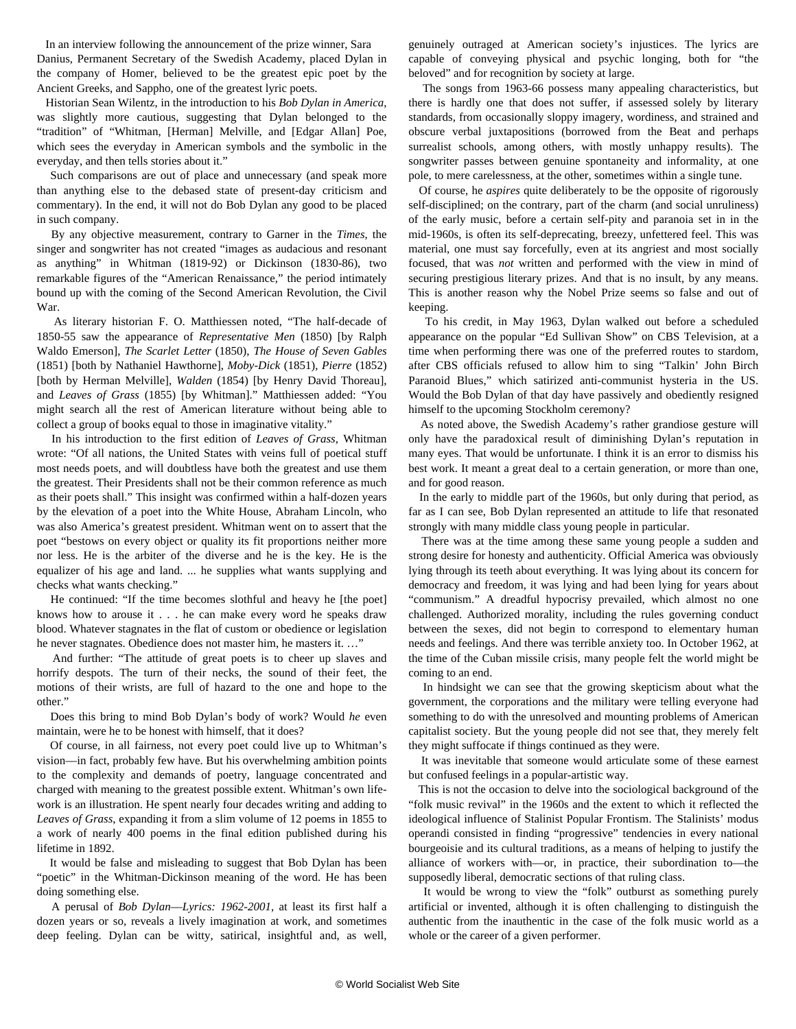In an interview following the announcement of the prize winner, Sara Danius, Permanent Secretary of the Swedish Academy, placed Dylan in the company of Homer, believed to be the greatest epic poet by the Ancient Greeks, and Sappho, one of the greatest lyric poets.

 Historian Sean Wilentz, in the introduction to his *Bob Dylan in America*, was slightly more cautious, suggesting that Dylan belonged to the "tradition" of "Whitman, [Herman] Melville, and [Edgar Allan] Poe, which sees the everyday in American symbols and the symbolic in the everyday, and then tells stories about it."

 Such comparisons are out of place and unnecessary (and speak more than anything else to the debased state of present-day criticism and commentary). In the end, it will not do Bob Dylan any good to be placed in such company.

 By any objective measurement, contrary to Garner in the *Times*, the singer and songwriter has not created "images as audacious and resonant as anything" in Whitman (1819-92) or Dickinson (1830-86), two remarkable figures of the "American Renaissance," the period intimately bound up with the coming of the Second American Revolution, the Civil War.

 As literary historian F. O. Matthiessen noted, "The half-decade of 1850-55 saw the appearance of *Representative Men* (1850) [by Ralph Waldo Emerson], *The Scarlet Letter* (1850), *The House of Seven Gables* (1851) [both by Nathaniel Hawthorne], *Moby-Dick* (1851), *Pierre* (1852) [both by Herman Melville], *Walden* (1854) [by Henry David Thoreau], and *Leaves of Grass* (1855) [by Whitman]." Matthiessen added: "You might search all the rest of American literature without being able to collect a group of books equal to those in imaginative vitality."

 In his introduction to the first edition of *Leaves of Grass*, Whitman wrote: "Of all nations, the United States with veins full of poetical stuff most needs poets, and will doubtless have both the greatest and use them the greatest. Their Presidents shall not be their common reference as much as their poets shall." This insight was confirmed within a half-dozen years by the elevation of a poet into the White House, Abraham Lincoln, who was also America's greatest president. Whitman went on to assert that the poet "bestows on every object or quality its fit proportions neither more nor less. He is the arbiter of the diverse and he is the key. He is the equalizer of his age and land. ... he supplies what wants supplying and checks what wants checking."

 He continued: "If the time becomes slothful and heavy he [the poet] knows how to arouse it . . . he can make every word he speaks draw blood. Whatever stagnates in the flat of custom or obedience or legislation he never stagnates. Obedience does not master him, he masters it. …"

 And further: "The attitude of great poets is to cheer up slaves and horrify despots. The turn of their necks, the sound of their feet, the motions of their wrists, are full of hazard to the one and hope to the other."

 Does this bring to mind Bob Dylan's body of work? Would *he* even maintain, were he to be honest with himself, that it does?

 Of course, in all fairness, not every poet could live up to Whitman's vision––in fact, probably few have. But his overwhelming ambition points to the complexity and demands of poetry, language concentrated and charged with meaning to the greatest possible extent. Whitman's own lifework is an illustration. He spent nearly four decades writing and adding to *Leaves of Grass*, expanding it from a slim volume of 12 poems in 1855 to a work of nearly 400 poems in the final edition published during his lifetime in 1892.

 It would be false and misleading to suggest that Bob Dylan has been "poetic" in the Whitman-Dickinson meaning of the word. He has been doing something else.

 A perusal of *Bob Dylan––Lyrics: 1962-2001*, at least its first half a dozen years or so, reveals a lively imagination at work, and sometimes deep feeling. Dylan can be witty, satirical, insightful and, as well, genuinely outraged at American society's injustices. The lyrics are capable of conveying physical and psychic longing, both for "the beloved" and for recognition by society at large.

 The songs from 1963-66 possess many appealing characteristics, but there is hardly one that does not suffer, if assessed solely by literary standards, from occasionally sloppy imagery, wordiness, and strained and obscure verbal juxtapositions (borrowed from the Beat and perhaps surrealist schools, among others, with mostly unhappy results). The songwriter passes between genuine spontaneity and informality, at one pole, to mere carelessness, at the other, sometimes within a single tune.

 Of course, he *aspires* quite deliberately to be the opposite of rigorously self-disciplined; on the contrary, part of the charm (and social unruliness) of the early music, before a certain self-pity and paranoia set in in the mid-1960s, is often its self-deprecating, breezy, unfettered feel. This was material, one must say forcefully, even at its angriest and most socially focused, that was *not* written and performed with the view in mind of securing prestigious literary prizes. And that is no insult, by any means. This is another reason why the Nobel Prize seems so false and out of keeping.

 To his credit, in May 1963, Dylan walked out before a scheduled appearance on the popular "Ed Sullivan Show" on CBS Television, at a time when performing there was one of the preferred routes to stardom, after CBS officials refused to allow him to sing "Talkin' John Birch Paranoid Blues," which satirized anti-communist hysteria in the US. Would the Bob Dylan of that day have passively and obediently resigned himself to the upcoming Stockholm ceremony?

 As noted above, the Swedish Academy's rather grandiose gesture will only have the paradoxical result of diminishing Dylan's reputation in many eyes. That would be unfortunate. I think it is an error to dismiss his best work. It meant a great deal to a certain generation, or more than one, and for good reason.

 In the early to middle part of the 1960s, but only during that period, as far as I can see, Bob Dylan represented an attitude to life that resonated strongly with many middle class young people in particular.

 There was at the time among these same young people a sudden and strong desire for honesty and authenticity. Official America was obviously lying through its teeth about everything. It was lying about its concern for democracy and freedom, it was lying and had been lying for years about "communism." A dreadful hypocrisy prevailed, which almost no one challenged. Authorized morality, including the rules governing conduct between the sexes, did not begin to correspond to elementary human needs and feelings. And there was terrible anxiety too. In October 1962, at the time of the Cuban missile crisis, many people felt the world might be coming to an end.

 In hindsight we can see that the growing skepticism about what the government, the corporations and the military were telling everyone had something to do with the unresolved and mounting problems of American capitalist society. But the young people did not see that, they merely felt they might suffocate if things continued as they were.

 It was inevitable that someone would articulate some of these earnest but confused feelings in a popular-artistic way.

 This is not the occasion to delve into the sociological background of the "folk music revival" in the 1960s and the extent to which it reflected the ideological influence of Stalinist Popular Frontism. The Stalinists' modus operandi consisted in finding "progressive" tendencies in every national bourgeoisie and its cultural traditions, as a means of helping to justify the alliance of workers with––or, in practice, their subordination to––the supposedly liberal, democratic sections of that ruling class.

 It would be wrong to view the "folk" outburst as something purely artificial or invented, although it is often challenging to distinguish the authentic from the inauthentic in the case of the folk music world as a whole or the career of a given performer.